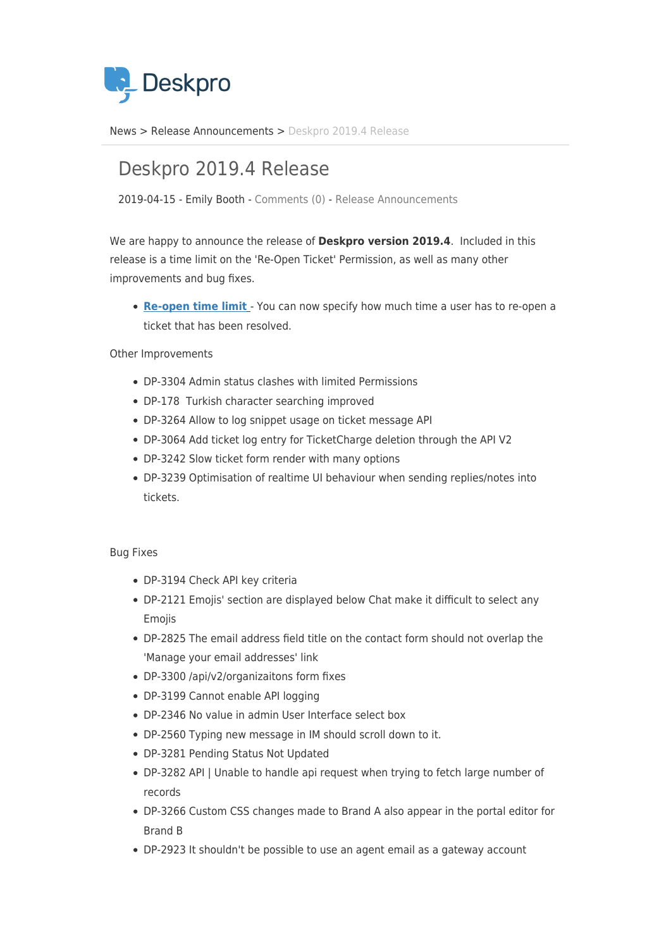

[News](https://support.deskpro.com/zh-CN/news) > [Release Announcements](https://support.deskpro.com/zh-CN/news/release-announcements) > [Deskpro 2019.4 Release](https://support.deskpro.com/zh-CN/news/posts/deskpro-2019-4-release)

## Deskpro 2019.4 Release

2019-04-15 - Emily Booth - [Comments \(0\)](#page--1-0) - [Release Announcements](https://support.deskpro.com/zh-CN/news/release-announcements)

We are happy to announce the release of **Deskpro version 2019.4**. Included in this release is a time limit on the 'Re-Open Ticket' Permission, as well as many other improvements and bug fixes.

**[Re-open time limit](https://support.deskpro.com/en/news/posts/re-open-tickets-time-limit)** - You can now specify how much time a user has to re-open a ticket that has been resolved.

Other Improvements

- DP-3304 Admin status clashes with limited Permissions
- DP-178 Turkish character searching improved
- DP-3264 Allow to log snippet usage on ticket message API
- DP-3064 Add ticket log entry for TicketCharge deletion through the API V2
- DP-3242 Slow ticket form render with many options
- DP-3239 Optimisation of realtime UI behaviour when sending replies/notes into tickets.

## Bug Fixes

- DP-3194 Check API key criteria
- DP-2121 Emojis' section are displayed below Chat make it difficult to select any Emojis
- DP-2825 The email address field title on the contact form should not overlap the 'Manage your email addresses' link
- DP-3300 /api/v2/organizaitons form fixes
- DP-3199 Cannot enable API logging
- DP-2346 No value in admin User Interface select box
- DP-2560 Typing new message in IM should scroll down to it.
- DP-3281 Pending Status Not Updated
- DP-3282 API | Unable to handle api request when trying to fetch large number of records
- DP-3266 Custom CSS changes made to Brand A also appear in the portal editor for Brand B
- DP-2923 It shouldn't be possible to use an agent email as a gateway account